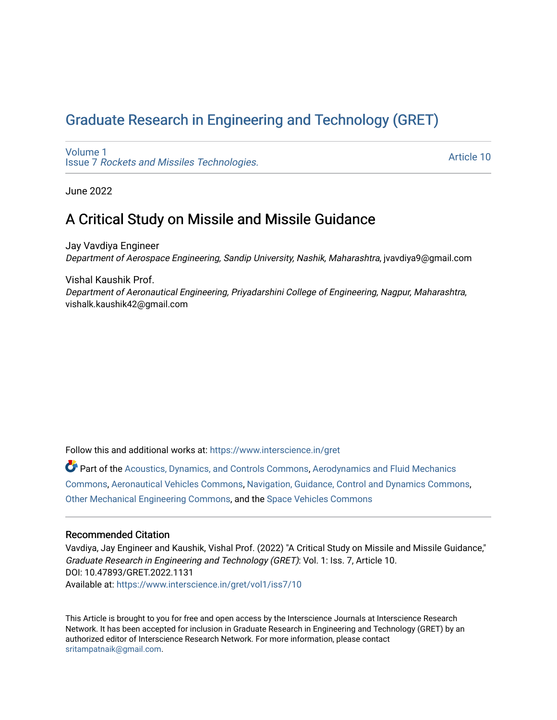# [Graduate Research in Engineering and Technology \(GRET\)](https://www.interscience.in/gret)

[Volume 1](https://www.interscience.in/gret/vol1) Issue 7 [Rockets and Missiles Technologies.](https://www.interscience.in/gret/vol1/iss7)

[Article 10](https://www.interscience.in/gret/vol1/iss7/10) 

June 2022

# A Critical Study on Missile and Missile Guidance

Jay Vavdiya Engineer Department of Aerospace Engineering, Sandip University, Nashik, Maharashtra, jvavdiya9@gmail.com

Vishal Kaushik Prof. Department of Aeronautical Engineering, Priyadarshini College of Engineering, Nagpur, Maharashtra, vishalk.kaushik42@gmail.com

Follow this and additional works at: [https://www.interscience.in/gret](https://www.interscience.in/gret?utm_source=www.interscience.in%2Fgret%2Fvol1%2Fiss7%2F10&utm_medium=PDF&utm_campaign=PDFCoverPages)

Part of the [Acoustics, Dynamics, and Controls Commons](https://network.bepress.com/hgg/discipline/294?utm_source=www.interscience.in%2Fgret%2Fvol1%2Fiss7%2F10&utm_medium=PDF&utm_campaign=PDFCoverPages), [Aerodynamics and Fluid Mechanics](https://network.bepress.com/hgg/discipline/222?utm_source=www.interscience.in%2Fgret%2Fvol1%2Fiss7%2F10&utm_medium=PDF&utm_campaign=PDFCoverPages)  [Commons](https://network.bepress.com/hgg/discipline/222?utm_source=www.interscience.in%2Fgret%2Fvol1%2Fiss7%2F10&utm_medium=PDF&utm_campaign=PDFCoverPages), [Aeronautical Vehicles Commons](https://network.bepress.com/hgg/discipline/219?utm_source=www.interscience.in%2Fgret%2Fvol1%2Fiss7%2F10&utm_medium=PDF&utm_campaign=PDFCoverPages), [Navigation, Guidance, Control and Dynamics Commons,](https://network.bepress.com/hgg/discipline/226?utm_source=www.interscience.in%2Fgret%2Fvol1%2Fiss7%2F10&utm_medium=PDF&utm_campaign=PDFCoverPages) [Other Mechanical Engineering Commons](https://network.bepress.com/hgg/discipline/304?utm_source=www.interscience.in%2Fgret%2Fvol1%2Fiss7%2F10&utm_medium=PDF&utm_campaign=PDFCoverPages), and the [Space Vehicles Commons](https://network.bepress.com/hgg/discipline/220?utm_source=www.interscience.in%2Fgret%2Fvol1%2Fiss7%2F10&utm_medium=PDF&utm_campaign=PDFCoverPages) 

# Recommended Citation

Vavdiya, Jay Engineer and Kaushik, Vishal Prof. (2022) "A Critical Study on Missile and Missile Guidance," Graduate Research in Engineering and Technology (GRET): Vol. 1: Iss. 7, Article 10. DOI: 10.47893/GRET.2022.1131 Available at: [https://www.interscience.in/gret/vol1/iss7/10](https://www.interscience.in/gret/vol1/iss7/10?utm_source=www.interscience.in%2Fgret%2Fvol1%2Fiss7%2F10&utm_medium=PDF&utm_campaign=PDFCoverPages) 

This Article is brought to you for free and open access by the Interscience Journals at Interscience Research Network. It has been accepted for inclusion in Graduate Research in Engineering and Technology (GRET) by an authorized editor of Interscience Research Network. For more information, please contact [sritampatnaik@gmail.com](mailto:sritampatnaik@gmail.com).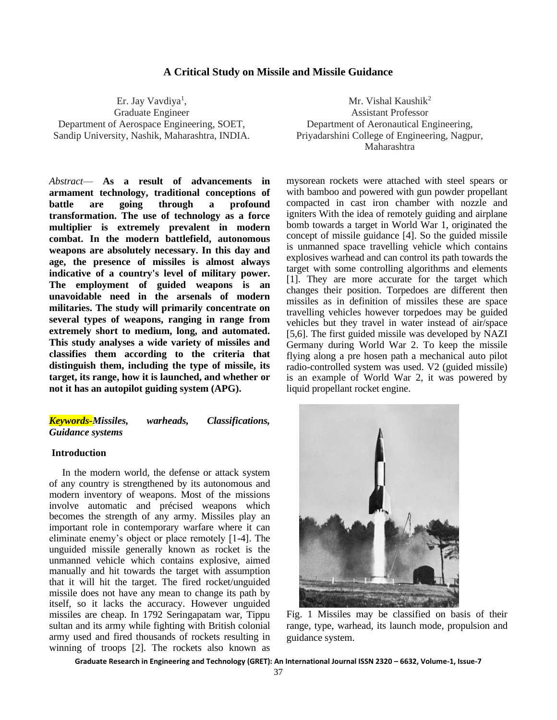## **A Critical Study on Missile and Missile Guidance**

Er. Jay Vavdiya<sup>1</sup>, Graduate Engineer Department of Aerospace Engineering, SOET, Sandip University, Nashik, Maharashtra, INDIA.

*Abstract*— **As a result of advancements in armament technology, traditional conceptions of battle are going through a profound transformation. The use of technology as a force multiplier is extremely prevalent in modern combat. In the modern battlefield, autonomous weapons are absolutely necessary. In this day and age, the presence of missiles is almost always indicative of a country's level of military power. The employment of guided weapons is an unavoidable need in the arsenals of modern militaries. The study will primarily concentrate on several types of weapons, ranging in range from extremely short to medium, long, and automated. This study analyses a wide variety of missiles and classifies them according to the criteria that distinguish them, including the type of missile, its target, its range, how it is launched, and whether or not it has an autopilot guiding system (APG).**

# *Keywords-Missiles, warheads, Classifications, Guidance systems*

## **Introduction**

In the modern world, the defense or attack system of any country is strengthened by its autonomous and modern inventory of weapons. Most of the missions involve automatic and précised weapons which becomes the strength of any army. Missiles play an important role in contemporary warfare where it can eliminate enemy's object or place remotely [1-4]. The unguided missile generally known as rocket is the unmanned vehicle which contains explosive, aimed manually and hit towards the target with assumption that it will hit the target. The fired rocket/unguided missile does not have any mean to change its path by itself, so it lacks the accuracy. However unguided missiles are cheap. In 1792 Seringapatam war, Tippu sultan and its army while fighting with British colonial army used and fired thousands of rockets resulting in winning of troops [2]. The rockets also known as

Mr. Vishal Kaushik<sup>2</sup> Assistant Professor Department of Aeronautical Engineering, Priyadarshini College of Engineering, Nagpur, Maharashtra

mysorean rockets were attached with steel spears or with bamboo and powered with gun powder propellant compacted in cast iron chamber with nozzle and igniters With the idea of remotely guiding and airplane bomb towards a target in World War 1, originated the concept of missile guidance [4]. So the guided missile is unmanned space travelling vehicle which contains explosives warhead and can control its path towards the target with some controlling algorithms and elements [1]. They are more accurate for the target which changes their position. Torpedoes are different then missiles as in definition of missiles these are space travelling vehicles however torpedoes may be guided vehicles but they travel in water instead of air/space [5,6]. The first guided missile was developed by NAZI Germany during World War 2. To keep the missile flying along a pre hosen path a mechanical auto pilot radio-controlled system was used. V2 (guided missile) is an example of World War 2, it was powered by liquid propellant rocket engine.



Fig. 1 Missiles may be classified on basis of their range, type, warhead, its launch mode, propulsion and guidance system.

**Graduate Research in Engineering and Technology (GRET): An International Journal ISSN 2320 – 6632, Volume-1, Issue-7**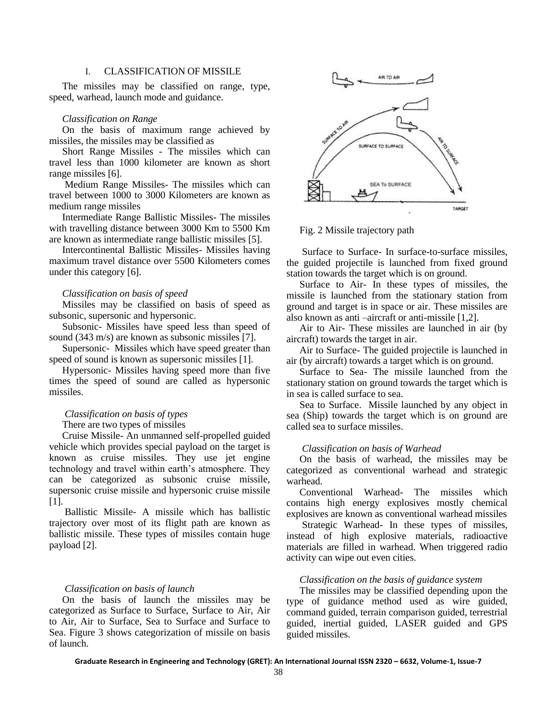# I. CLASSIFICATION OF MISSILE

The missiles may be classified on range, type, speed, warhead, launch mode and guidance.

### *Classification on Range*

On the basis of maximum range achieved by missiles, the missiles may be classified as

Short Range Missiles - The missiles which can travel less than 1000 kilometer are known as short range missiles [6].

Medium Range Missiles- The missiles which can travel between 1000 to 3000 Kilometers are known as medium range missiles

Intermediate Range Ballistic Missiles- The missiles with travelling distance between 3000 Km to 5500 Km are known as intermediate range ballistic missiles [5].

Intercontinental Ballistic Missiles- Missiles having maximum travel distance over 5500 Kilometers comes under this category [6].

#### *Classification on basis of speed*

Missiles may be classified on basis of speed as subsonic, supersonic and hypersonic.

Subsonic- Missiles have speed less than speed of sound (343 m/s) are known as subsonic missiles [7].

Supersonic- Missiles which have speed greater than speed of sound is known as supersonic missiles [1].

Hypersonic- Missiles having speed more than five times the speed of sound are called as hypersonic missiles.

## *Classification on basis of types* There are two types of missiles

Cruise Missile- An unmanned self-propelled guided vehicle which provides special payload on the target is known as cruise missiles. They use jet engine technology and travel within earth's atmosphere. They can be categorized as subsonic cruise missile, supersonic cruise missile and hypersonic cruise missile [1].

Ballistic Missile- A missile which has ballistic trajectory over most of its flight path are known as ballistic missile. These types of missiles contain huge payload [2].

#### *Classification on basis of launch*

On the basis of launch the missiles may be categorized as Surface to Surface, Surface to Air, Air to Air, Air to Surface, Sea to Surface and Surface to Sea. Figure 3 shows categorization of missile on basis of launch.



Fig. 2 Missile trajectory path

Surface to Surface- In surface-to-surface missiles, the guided projectile is launched from fixed ground station towards the target which is on ground.

Surface to Air- In these types of missiles, the missile is launched from the stationary station from ground and target is in space or air. These missiles are also known as anti –aircraft or anti-missile [1,2].

Air to Air- These missiles are launched in air (by aircraft) towards the target in air.

Air to Surface- The guided projectile is launched in air (by aircraft) towards a target which is on ground.

Surface to Sea- The missile launched from the stationary station on ground towards the target which is in sea is called surface to sea.

Sea to Surface. Missile launched by any object in sea (Ship) towards the target which is on ground are called sea to surface missiles.

#### *Classification on basis of Warhead*

On the basis of warhead, the missiles may be categorized as conventional warhead and strategic warhead.

Conventional Warhead- The missiles which contains high energy explosives mostly chemical explosives are known as conventional warhead missiles

Strategic Warhead- In these types of missiles, instead of high explosive materials, radioactive materials are filled in warhead. When triggered radio activity can wipe out even cities.

## *Classification on the basis of guidance system*

The missiles may be classified depending upon the type of guidance method used as wire guided, command guided, terrain comparison guided, terrestrial guided, inertial guided, LASER guided and GPS guided missiles.

**Graduate Research in Engineering and Technology (GRET): An International Journal ISSN 2320 – 6632, Volume-1, Issue-7**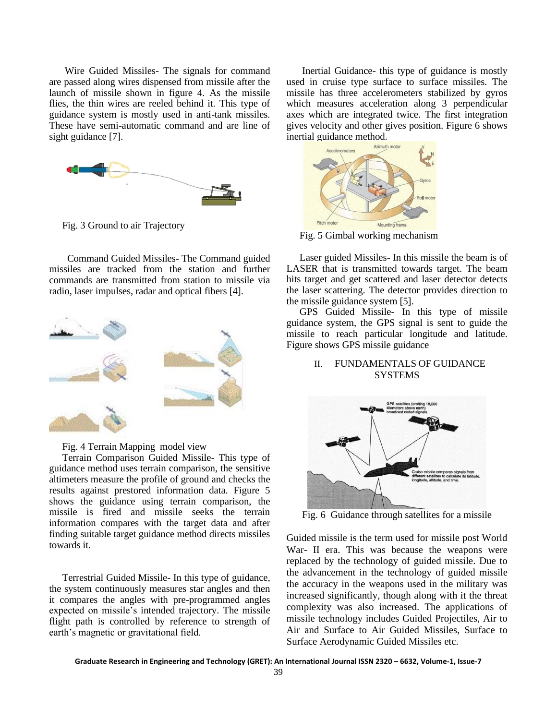Wire Guided Missiles- The signals for command are passed along wires dispensed from missile after the launch of missile shown in figure 4. As the missile flies, the thin wires are reeled behind it. This type of guidance system is mostly used in anti-tank missiles. These have semi-automatic command and are line of sight guidance [7].



Fig. 3 Ground to air Trajectory

 Command Guided Missiles- The Command guided missiles are tracked from the station and further commands are transmitted from station to missile via radio, laser impulses, radar and optical fibers [4].





Terrain Comparison Guided Missile- This type of guidance method uses terrain comparison, the sensitive altimeters measure the profile of ground and checks the results against prestored information data. Figure 5 shows the guidance using terrain comparison, the missile is fired and missile seeks the terrain information compares with the target data and after finding suitable target guidance method directs missiles towards it.

Terrestrial Guided Missile- In this type of guidance, the system continuously measures star angles and then it compares the angles with pre-programmed angles expected on missile's intended trajectory. The missile flight path is controlled by reference to strength of earth's magnetic or gravitational field.

Inertial Guidance- this type of guidance is mostly used in cruise type surface to surface missiles. The missile has three accelerometers stabilized by gyros which measures acceleration along 3 perpendicular axes which are integrated twice. The first integration gives velocity and other gives position. Figure 6 shows inertial guidance method.



Fig. 5 Gimbal working mechanism

Laser guided Missiles- In this missile the beam is of LASER that is transmitted towards target. The beam hits target and get scattered and laser detector detects the laser scattering. The detector provides direction to the missile guidance system [5].

GPS Guided Missile- In this type of missile guidance system, the GPS signal is sent to guide the missile to reach particular longitude and latitude. Figure shows GPS missile guidance

# II. FUNDAMENTALS OF GUIDANCE **SYSTEMS**



Fig. 6 Guidance through satellites for a missile

Guided missile is the term used for missile post World War- II era. This was because the weapons were replaced by the technology of guided missile. Due to the advancement in the technology of guided missile the accuracy in the weapons used in the military was increased significantly, though along with it the threat complexity was also increased. The applications of missile technology includes Guided Projectiles, Air to Air and Surface to Air Guided Missiles, Surface to Surface Aerodynamic Guided Missiles etc.